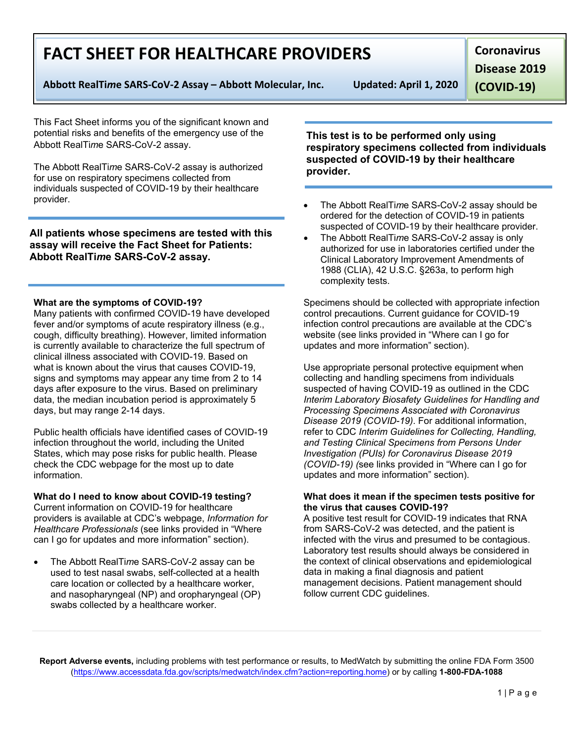**Report Adverse events,** including problems with test performance or results, to MedWatch by submitting the online FDA Form 3500 [\(https://www.accessdata.fda.gov/scripts/medwatch/index.cfm?action=reporting.home\)](https://www.accessdata.fda.gov/scripts/medwatch/index.cfm?action=reporting.home) or by calling **1-800-FDA-1088**

## **FACT SHEET FOR HEALTHCARE PROVIDERS**

**Abbott RealTi***m***e SARS-CoV-2 Assay – Abbott Molecular, Inc. Updated: April 1, 2020**

This Fact Sheet informs you of the significant known and potential risks and benefits of the emergency use of the Abbott RealTi*m*e SARS-CoV-2 assay.

The Abbott RealTi*m*e SARS-CoV-2 assay is authorized for use on respiratory specimens collected from individuals suspected of COVID-19 by their healthcare provider.

**All patients whose specimens are tested with this assay will receive the Fact Sheet for Patients: Abbott RealTi***m***e SARS-CoV-2 assay.**

### **What are the symptoms of COVID-19?**

Many patients with confirmed COVID-19 have developed fever and/or symptoms of acute respiratory illness (e.g., cough, difficulty breathing). However, limited information is currently available to characterize the full spectrum of clinical illness associated with COVID-19. Based on what is known about the virus that causes COVID-19, signs and symptoms may appear any time from 2 to 14 days after exposure to the virus. Based on preliminary data, the median incubation period is approximately 5 days, but may range 2-14 days.

Public health officials have identified cases of COVID-19 infection throughout the world, including the United States, which may pose risks for public health. Please check the CDC webpage for the most up to date information.

## **What do I need to know about COVID-19 testing?**

Current information on COVID-19 for healthcare providers is available at CDC's webpage, *Information for Healthcare Professionals* (see links provided in "Where can I go for updates and more information" section).

• The Abbott RealTi*m*e SARS-CoV-2 assay can be used to test nasal swabs, self-collected at a health care location or collected by a healthcare worker, and nasopharyngeal (NP) and oropharyngeal (OP) swabs collected by a healthcare worker.

**This test is to be performed only using respiratory specimens collected from individuals suspected of COVID-19 by their healthcare provider.**

- The Abbott RealTi*m*e SARS-CoV-2 assay should be ordered for the detection of COVID-19 in patients suspected of COVID-19 by their healthcare provider.
- The Abbott RealTi*m*e SARS-CoV-2 assay is only authorized for use in laboratories certified under the Clinical Laboratory Improvement Amendments of 1988 (CLIA), 42 U.S.C. §263a, to perform high complexity tests.

Specimens should be collected with appropriate infection control precautions. Current guidance for COVID-19 infection control precautions are available at the CDC's website (see links provided in "Where can I go for updates and more information" section).

Use appropriate personal protective equipment when collecting and handling specimens from individuals suspected of having COVID-19 as outlined in the CDC *Interim Laboratory Biosafety Guidelines for Handling and Processing Specimens Associated with Coronavirus Disease 2019 (COVID-19)*. For additional information, refer to CDC *Interim Guidelines for Collecting, Handling, and Testing Clinical Specimens from Persons Under Investigation (PUIs) for Coronavirus Disease 2019 (COVID-19) (*see links provided in "Where can I go for updates and more information" section).

### **What does it mean if the specimen tests positive for the virus that causes COVID-19?**

A positive test result for COVID-19 indicates that RNA from SARS-CoV-2 was detected, and the patient is infected with the virus and presumed to be contagious. Laboratory test results should always be considered in the context of clinical observations and epidemiological data in making a final diagnosis and patient management decisions. Patient management should follow current CDC guidelines.

**Coronavirus** 

**Disease 2019** 

**(COVID-19)**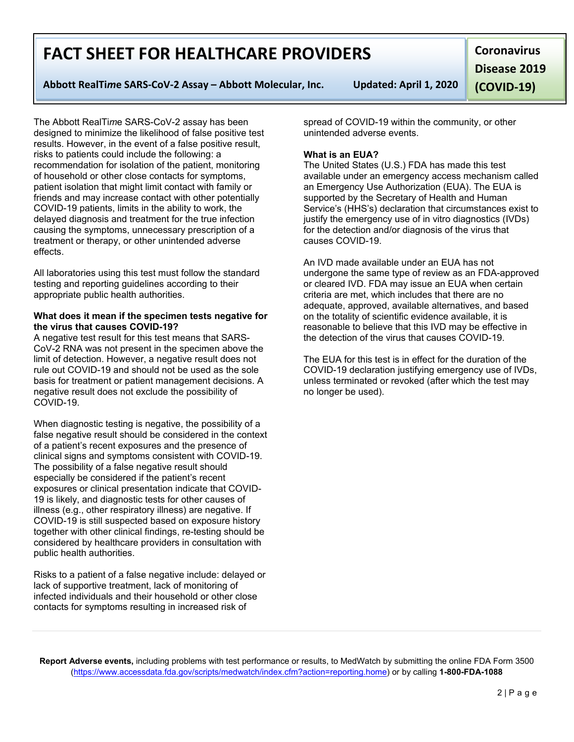**Report Adverse events,** including problems with test performance or results, to MedWatch by submitting the online FDA Form 3500 [\(https://www.accessdata.fda.gov/scripts/medwatch/index.cfm?action=reporting.home\)](https://www.accessdata.fda.gov/scripts/medwatch/index.cfm?action=reporting.home) or by calling **1-800-FDA-1088**

## **FACT SHEET FOR HEALTHCARE PROVIDERS**

**Abbott RealTi***m***e SARS-CoV-2 Assay – Abbott Molecular, Inc. Updated: April 1, 2020**

The Abbott RealTi*m*e SARS-CoV-2 assay has been designed to minimize the likelihood of false positive test results. However, in the event of a false positive result, risks to patients could include the following: a recommendation for isolation of the patient, monitoring of household or other close contacts for symptoms, patient isolation that might limit contact with family or friends and may increase contact with other potentially COVID-19 patients, limits in the ability to work, the delayed diagnosis and treatment for the true infection causing the symptoms, unnecessary prescription of a treatment or therapy, or other unintended adverse effects.

All laboratories using this test must follow the standard testing and reporting guidelines according to their appropriate public health authorities.

### **What does it mean if the specimen tests negative for the virus that causes COVID-19?**

A negative test result for this test means that SARS-CoV-2 RNA was not present in the specimen above the limit of detection. However, a negative result does not rule out COVID-19 and should not be used as the sole basis for treatment or patient management decisions. A negative result does not exclude the possibility of COVID-19.

When diagnostic testing is negative, the possibility of a false negative result should be considered in the context of a patient's recent exposures and the presence of clinical signs and symptoms consistent with COVID-19. The possibility of a false negative result should especially be considered if the patient's recent exposures or clinical presentation indicate that COVID-19 is likely, and diagnostic tests for other causes of illness (e.g., other respiratory illness) are negative. If COVID-19 is still suspected based on exposure history together with other clinical findings, re-testing should be considered by healthcare providers in consultation with public health authorities.

Risks to a patient of a false negative include: delayed or lack of supportive treatment, lack of monitoring of infected individuals and their household or other close contacts for symptoms resulting in increased risk of

spread of COVID-19 within the community, or other unintended adverse events.

## **What is an EUA?**

The United States (U.S.) FDA has made this test available under an emergency access mechanism called an Emergency Use Authorization (EUA). The EUA is supported by the Secretary of Health and Human Service's (HHS's) declaration that circumstances exist to justify the emergency use of in vitro diagnostics (IVDs) for the detection and/or diagnosis of the virus that causes COVID-19.

An IVD made available under an EUA has not undergone the same type of review as an FDA-approved or cleared IVD. FDA may issue an EUA when certain criteria are met, which includes that there are no adequate, approved, available alternatives, and based on the totality of scientific evidence available, it is reasonable to believe that this IVD may be effective in the detection of the virus that causes COVID-19.

The EUA for this test is in effect for the duration of the COVID-19 declaration justifying emergency use of IVDs, unless terminated or revoked (after which the test may no longer be used).

**Coronavirus Disease 2019 (COVID-19)**